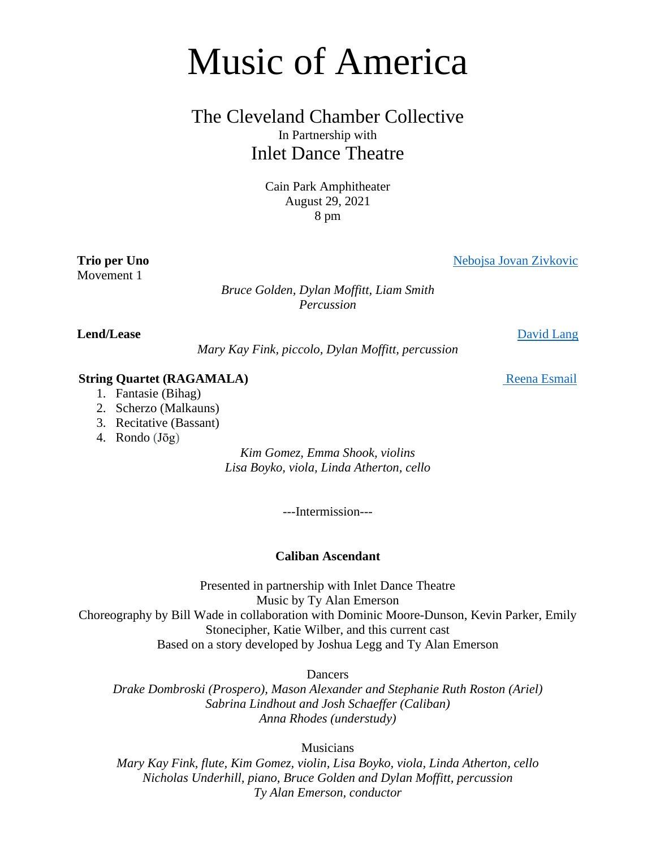Music of America

# The Cleveland Chamber Collective In Partnership with Inlet Dance Theatre

Cain Park Amphitheater August 29, 2021 8 pm

Movement 1

**Trio per Uno** [Nebojsa Jovan Zivkovic](https://zivkovic.de/)

*Bruce Golden, Dylan Moffitt, Liam Smith Percussion*

**Lend/Lease** [David Lang](https://davidlangmusic.com/about/)

*Mary Kay Fink, piccolo, Dylan Moffitt, percussion*

# **String Quartet (RAGAMALA)** [Reena Esmail](https://www.reenaesmail.com/)

- 1. Fantasie (Bihag)
- 2. Scherzo (Malkauns)
- 3. Recitative (Bassant)
- 4. Rondo  $(J\bar{o}g)$

*Kim Gomez, Emma Shook, violins Lisa Boyko, viola, Linda Atherton, cello*

---Intermission---

# **Caliban Ascendant**

Presented in partnership with Inlet Dance Theatre Music by Ty Alan Emerson Choreography by Bill Wade in collaboration with Dominic Moore-Dunson, Kevin Parker, Emily Stonecipher, Katie Wilber, and this current cast Based on a story developed by Joshua Legg and Ty Alan Emerson

Dancers

*Drake Dombroski (Prospero), Mason Alexander and Stephanie Ruth Roston (Ariel) Sabrina Lindhout and Josh Schaeffer (Caliban) Anna Rhodes (understudy)*

Musicians

*Mary Kay Fink, flute, Kim Gomez, violin, Lisa Boyko, viola, Linda Atherton, cello Nicholas Underhill, piano, Bruce Golden and Dylan Moffitt, percussion Ty Alan Emerson, conductor*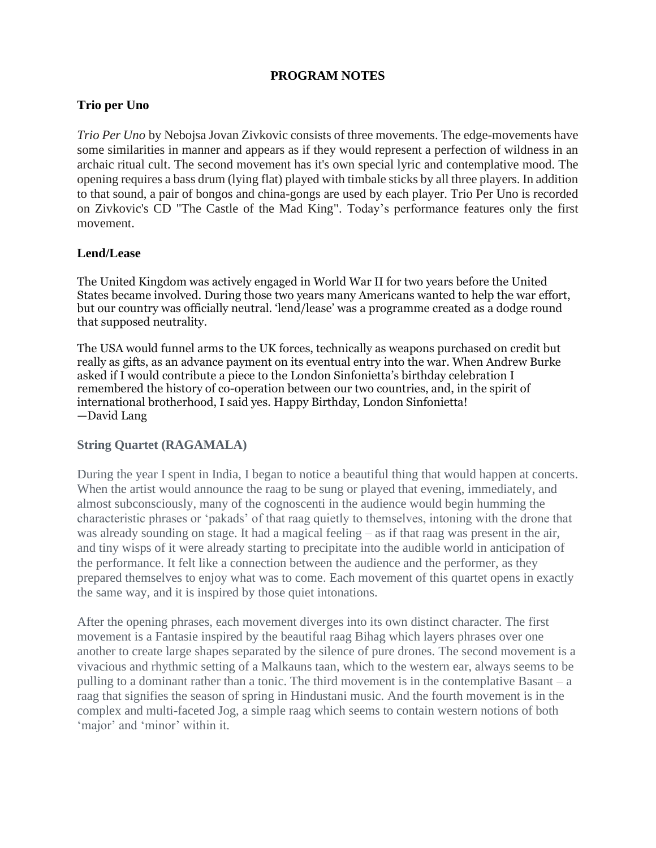# **PROGRAM NOTES**

# **Trio per Uno**

*Trio Per Uno* by Nebojsa Jovan Zivkovic consists of three movements. The edge-movements have some similarities in manner and appears as if they would represent a perfection of wildness in an archaic ritual cult. The second movement has it's own special lyric and contemplative mood. The opening requires a bass drum (lying flat) played with timbale sticks by all three players. In addition to that sound, a pair of bongos and china-gongs are used by each player. Trio Per Uno is recorded on Zivkovic's CD "The Castle of the Mad King". Today's performance features only the first movement.

# **Lend/Lease**

The United Kingdom was actively engaged in World War II for two years before the United States became involved. During those two years many Americans wanted to help the war effort, but our country was officially neutral. 'lend/lease' was a programme created as a dodge round that supposed neutrality.

The USA would funnel arms to the UK forces, technically as weapons purchased on credit but really as gifts, as an advance payment on its eventual entry into the war. When Andrew Burke asked if I would contribute a piece to the London Sinfonietta's birthday celebration I remembered the history of co-operation between our two countries, and, in the spirit of international brotherhood, I said yes. Happy Birthday, London Sinfonietta! —David Lang

# **String Quartet (RAGAMALA)**

During the year I spent in India, I began to notice a beautiful thing that would happen at concerts. When the artist would announce the raag to be sung or played that evening, immediately, and almost subconsciously, many of the cognoscenti in the audience would begin humming the characteristic phrases or 'pakads' of that raag quietly to themselves, intoning with the drone that was already sounding on stage. It had a magical feeling – as if that raag was present in the air, and tiny wisps of it were already starting to precipitate into the audible world in anticipation of the performance. It felt like a connection between the audience and the performer, as they prepared themselves to enjoy what was to come. Each movement of this quartet opens in exactly the same way, and it is inspired by those quiet intonations.

After the opening phrases, each movement diverges into its own distinct character. The first movement is a Fantasie inspired by the beautiful raag Bihag which layers phrases over one another to create large shapes separated by the silence of pure drones. The second movement is a vivacious and rhythmic setting of a Malkauns taan, which to the western ear, always seems to be pulling to a dominant rather than a tonic. The third movement is in the contemplative Basant – a raag that signifies the season of spring in Hindustani music. And the fourth movement is in the complex and multi-faceted Jog, a simple raag which seems to contain western notions of both 'major' and 'minor' within it.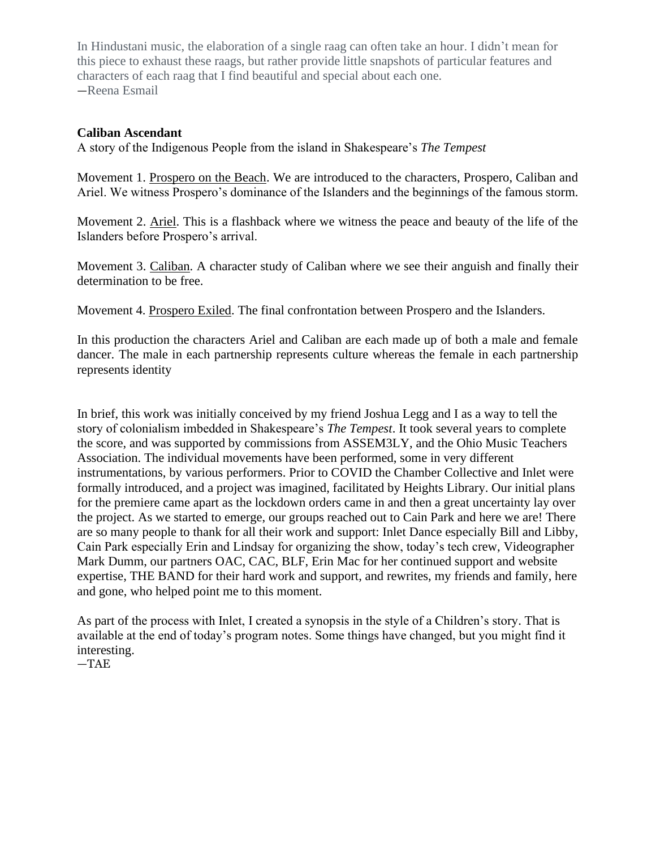In Hindustani music, the elaboration of a single raag can often take an hour. I didn't mean for this piece to exhaust these raags, but rather provide little snapshots of particular features and characters of each raag that I find beautiful and special about each one. —Reena Esmail

## **Caliban Ascendant**

A story of the Indigenous People from the island in Shakespeare's *The Tempest*

Movement 1. Prospero on the Beach. We are introduced to the characters, Prospero, Caliban and Ariel. We witness Prospero's dominance of the Islanders and the beginnings of the famous storm.

Movement 2. Ariel. This is a flashback where we witness the peace and beauty of the life of the Islanders before Prospero's arrival.

Movement 3. Caliban. A character study of Caliban where we see their anguish and finally their determination to be free.

Movement 4. Prospero Exiled. The final confrontation between Prospero and the Islanders.

In this production the characters Ariel and Caliban are each made up of both a male and female dancer. The male in each partnership represents culture whereas the female in each partnership represents identity

In brief, this work was initially conceived by my friend Joshua Legg and I as a way to tell the story of colonialism imbedded in Shakespeare's *The Tempest*. It took several years to complete the score, and was supported by commissions from ASSEM3LY, and the Ohio Music Teachers Association. The individual movements have been performed, some in very different instrumentations, by various performers. Prior to COVID the Chamber Collective and Inlet were formally introduced, and a project was imagined, facilitated by Heights Library. Our initial plans for the premiere came apart as the lockdown orders came in and then a great uncertainty lay over the project. As we started to emerge, our groups reached out to Cain Park and here we are! There are so many people to thank for all their work and support: Inlet Dance especially Bill and Libby, Cain Park especially Erin and Lindsay for organizing the show, today's tech crew, Videographer Mark Dumm, our partners OAC, CAC, BLF, Erin Mac for her continued support and website expertise, THE BAND for their hard work and support, and rewrites, my friends and family, here and gone, who helped point me to this moment.

As part of the process with Inlet, I created a synopsis in the style of a Children's story. That is available at the end of today's program notes. Some things have changed, but you might find it interesting.

—TAE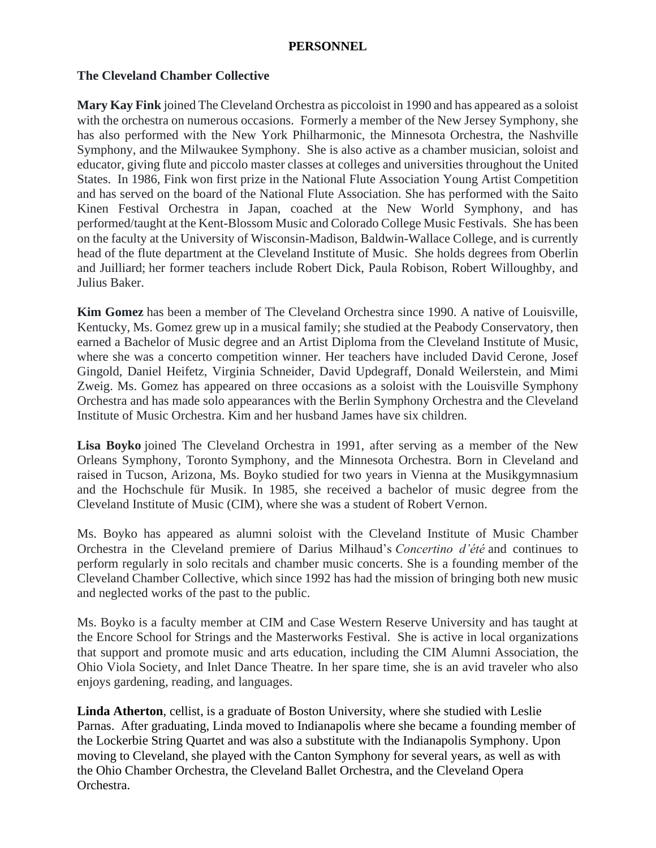# **PERSONNEL**

# **The Cleveland Chamber Collective**

**Mary Kay Fink** joined The Cleveland Orchestra as piccoloist in 1990 and has appeared as a soloist with the orchestra on numerous occasions. Formerly a member of the New Jersey Symphony, she has also performed with the New York Philharmonic, the Minnesota Orchestra, the Nashville Symphony, and the Milwaukee Symphony. She is also active as a chamber musician, soloist and educator, giving flute and piccolo master classes at colleges and universities throughout the United States. In 1986, Fink won first prize in the National Flute Association Young Artist Competition and has served on the board of the National Flute Association. She has performed with the Saito Kinen Festival Orchestra in Japan, coached at the New World Symphony, and has performed/taught at the Kent-Blossom Music and Colorado College Music Festivals. She has been on the faculty at the University of Wisconsin-Madison, Baldwin-Wallace College, and is currently head of the flute department at the Cleveland Institute of Music. She holds degrees from Oberlin and Juilliard; her former teachers include Robert Dick, Paula Robison, Robert Willoughby, and Julius Baker.

**Kim Gomez** has been a member of The Cleveland Orchestra since 1990. A native of Louisville, Kentucky, Ms. Gomez grew up in a musical family; she studied at the Peabody Conservatory, then earned a Bachelor of Music degree and an Artist Diploma from the Cleveland Institute of Music, where she was a concerto competition winner. Her teachers have included David Cerone, Josef Gingold, Daniel Heifetz, Virginia Schneider, David Updegraff, Donald Weilerstein, and Mimi Zweig. Ms. Gomez has appeared on three occasions as a soloist with the Louisville Symphony Orchestra and has made solo appearances with the Berlin Symphony Orchestra and the Cleveland Institute of Music Orchestra. Kim and her husband James have six children.

**Lisa Boyko** joined The Cleveland Orchestra in 1991, after serving as a member of the New Orleans Symphony, Toronto Symphony, and the Minnesota Orchestra. Born in Cleveland and raised in Tucson, Arizona, Ms. Boyko studied for two years in Vienna at the Musikgymnasium and the Hochschule für Musik. In 1985, she received a bachelor of music degree from the Cleveland Institute of Music (CIM), where she was a student of Robert Vernon.

Ms. Boyko has appeared as alumni soloist with the Cleveland Institute of Music Chamber Orchestra in the Cleveland premiere of Darius Milhaud's *Concertino d'été* and continues to perform regularly in solo recitals and chamber music concerts. She is a founding member of the Cleveland Chamber Collective, which since 1992 has had the mission of bringing both new music and neglected works of the past to the public.

Ms. Boyko is a faculty member at CIM and Case Western Reserve University and has taught at the Encore School for Strings and the Masterworks Festival. She is active in local organizations that support and promote music and arts education, including the CIM Alumni Association, the Ohio Viola Society, and Inlet Dance Theatre. In her spare time, she is an avid traveler who also enjoys gardening, reading, and languages.

**Linda Atherton**, cellist, is a graduate of Boston University, where she studied with Leslie Parnas. After graduating, Linda moved to Indianapolis where she became a founding member of the Lockerbie String Quartet and was also a substitute with the Indianapolis Symphony. Upon moving to Cleveland, she played with the Canton Symphony for several years, as well as with the Ohio Chamber Orchestra, the Cleveland Ballet Orchestra, and the Cleveland Opera Orchestra.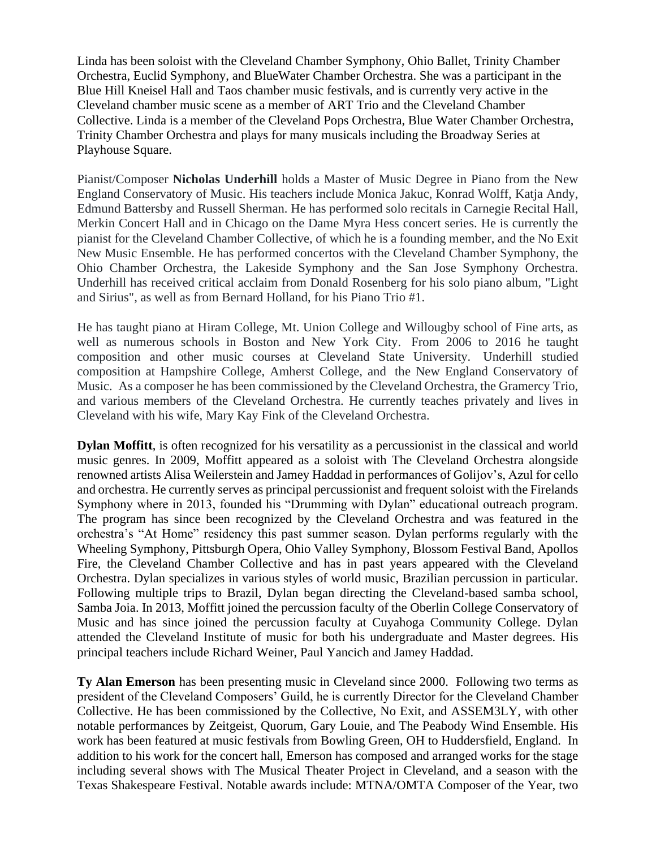Linda has been soloist with the Cleveland Chamber Symphony, Ohio Ballet, Trinity Chamber Orchestra, Euclid Symphony, and BlueWater Chamber Orchestra. She was a participant in the Blue Hill Kneisel Hall and Taos chamber music festivals, and is currently very active in the Cleveland chamber music scene as a member of ART Trio and the Cleveland Chamber Collective. Linda is a member of the Cleveland Pops Orchestra, Blue Water Chamber Orchestra, Trinity Chamber Orchestra and plays for many musicals including the Broadway Series at Playhouse Square.

Pianist/Composer **Nicholas Underhill** holds a Master of Music Degree in Piano from the New England Conservatory of Music. His teachers include Monica Jakuc, Konrad Wolff, Katja Andy, Edmund Battersby and Russell Sherman. He has performed solo recitals in Carnegie Recital Hall, Merkin Concert Hall and in Chicago on the Dame Myra Hess concert series. He is currently the pianist for the Cleveland Chamber Collective, of which he is a founding member, and the No Exit New Music Ensemble. He has performed concertos with the Cleveland Chamber Symphony, the Ohio Chamber Orchestra, the Lakeside Symphony and the San Jose Symphony Orchestra. Underhill has received critical acclaim from Donald Rosenberg for his solo piano album, "Light and Sirius", as well as from Bernard Holland, for his Piano Trio #1.

He has taught piano at Hiram College, Mt. Union College and Willougby school of Fine arts, as well as numerous schools in Boston and New York City. From 2006 to 2016 he taught composition and other music courses at Cleveland State University. Underhill studied composition at Hampshire College, Amherst College, and the New England Conservatory of Music. As a composer he has been commissioned by the Cleveland Orchestra, the Gramercy Trio, and various members of the Cleveland Orchestra. He currently teaches privately and lives in Cleveland with his wife, Mary Kay Fink of the Cleveland Orchestra.

**Dylan Moffitt**, is often recognized for his versatility as a percussionist in the classical and world music genres. In 2009, Moffitt appeared as a soloist with The Cleveland Orchestra alongside renowned artists Alisa Weilerstein and Jamey Haddad in performances of Golijov's, Azul for cello and orchestra. He currently serves as principal percussionist and frequent soloist with the Firelands Symphony where in 2013, founded his "Drumming with Dylan" educational outreach program. The program has since been recognized by the Cleveland Orchestra and was featured in the orchestra's "At Home" residency this past summer season. Dylan performs regularly with the Wheeling Symphony, Pittsburgh Opera, Ohio Valley Symphony, Blossom Festival Band, Apollos Fire, the Cleveland Chamber Collective and has in past years appeared with the Cleveland Orchestra. Dylan specializes in various styles of world music, Brazilian percussion in particular. Following multiple trips to Brazil, Dylan began directing the Cleveland-based samba school, Samba Joia. In 2013, Moffitt joined the percussion faculty of the Oberlin College Conservatory of Music and has since joined the percussion faculty at Cuyahoga Community College. Dylan attended the Cleveland Institute of music for both his undergraduate and Master degrees. His principal teachers include Richard Weiner, Paul Yancich and Jamey Haddad.

**Ty Alan Emerson** has been presenting music in Cleveland since 2000. Following two terms as president of the Cleveland Composers' Guild, he is currently Director for the Cleveland Chamber Collective. He has been commissioned by the Collective, No Exit, and ASSEM3LY, with other notable performances by Zeitgeist, Quorum, Gary Louie, and The Peabody Wind Ensemble. His work has been featured at music festivals from Bowling Green, OH to Huddersfield, England. In addition to his work for the concert hall, Emerson has composed and arranged works for the stage including several shows with The Musical Theater Project in Cleveland, and a season with the Texas Shakespeare Festival. Notable awards include: MTNA/OMTA Composer of the Year, two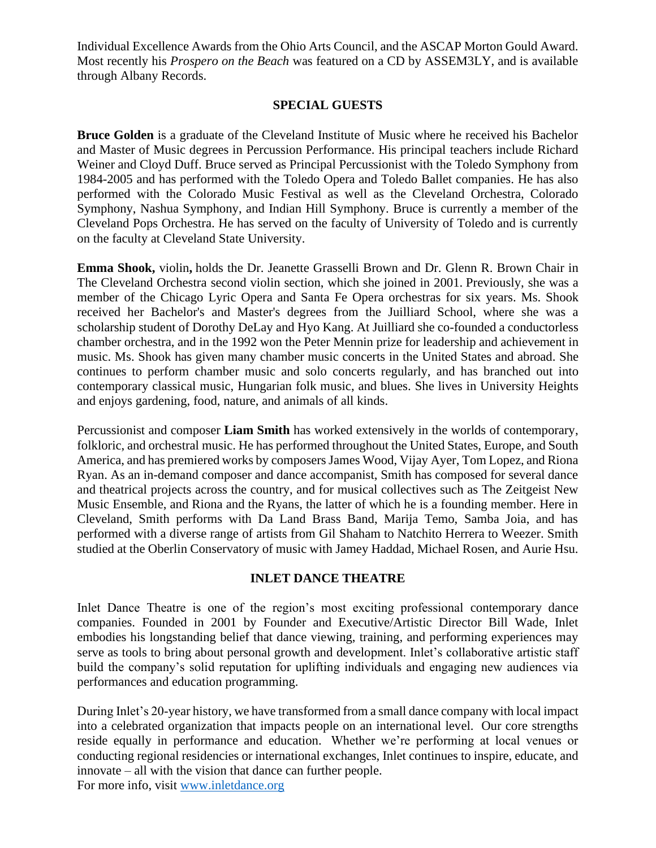Individual Excellence Awards from the Ohio Arts Council, and the ASCAP Morton Gould Award. Most recently his *Prospero on the Beach* was featured on a CD by ASSEM3LY, and is available through Albany Records.

# **SPECIAL GUESTS**

**Bruce Golden** is a graduate of the Cleveland Institute of Music where he received his Bachelor and Master of Music degrees in Percussion Performance. His principal teachers include Richard Weiner and Cloyd Duff. Bruce served as Principal Percussionist with the Toledo Symphony from 1984-2005 and has performed with the Toledo Opera and Toledo Ballet companies. He has also performed with the Colorado Music Festival as well as the Cleveland Orchestra, Colorado Symphony, Nashua Symphony, and Indian Hill Symphony. Bruce is currently a member of the Cleveland Pops Orchestra. He has served on the faculty of University of Toledo and is currently on the faculty at Cleveland State University.

**Emma Shook,** violin**,** holds the Dr. Jeanette Grasselli Brown and Dr. Glenn R. Brown Chair in The Cleveland Orchestra second violin section, which she joined in 2001. Previously, she was a member of the Chicago Lyric Opera and Santa Fe Opera orchestras for six years. Ms. Shook received her Bachelor's and Master's degrees from the Juilliard School, where she was a scholarship student of Dorothy DeLay and Hyo Kang. At Juilliard she co-founded a conductorless chamber orchestra, and in the 1992 won the Peter Mennin prize for leadership and achievement in music. Ms. Shook has given many chamber music concerts in the United States and abroad. She continues to perform chamber music and solo concerts regularly, and has branched out into contemporary classical music, Hungarian folk music, and blues. She lives in University Heights and enjoys gardening, food, nature, and animals of all kinds.

Percussionist and composer **Liam Smith** has worked extensively in the worlds of contemporary, folkloric, and orchestral music. He has performed throughout the United States, Europe, and South America, and has premiered works by composers James Wood, Vijay Ayer, Tom Lopez, and Riona Ryan. As an in-demand composer and dance accompanist, Smith has composed for several dance and theatrical projects across the country, and for musical collectives such as The Zeitgeist New Music Ensemble, and Riona and the Ryans, the latter of which he is a founding member. Here in Cleveland, Smith performs with Da Land Brass Band, Marija Temo, Samba Joia, and has performed with a diverse range of artists from Gil Shaham to Natchito Herrera to Weezer. Smith studied at the Oberlin Conservatory of music with Jamey Haddad, Michael Rosen, and Aurie Hsu.

#### **INLET DANCE THEATRE**

Inlet Dance Theatre is one of the region's most exciting professional contemporary dance companies. Founded in 2001 by Founder and Executive/Artistic Director Bill Wade, Inlet embodies his longstanding belief that dance viewing, training, and performing experiences may serve as tools to bring about personal growth and development. Inlet's collaborative artistic staff build the company's solid reputation for uplifting individuals and engaging new audiences via performances and education programming.

During Inlet's 20-year history, we have transformed from a small dance company with local impact into a celebrated organization that impacts people on an international level. Our core strengths reside equally in performance and education. Whether we're performing at local venues or conducting regional residencies or international exchanges, Inlet continues to inspire, educate, and innovate – all with the vision that dance can further people. For more info, visit [www.inletdance.org](http://www.inletdance.org/)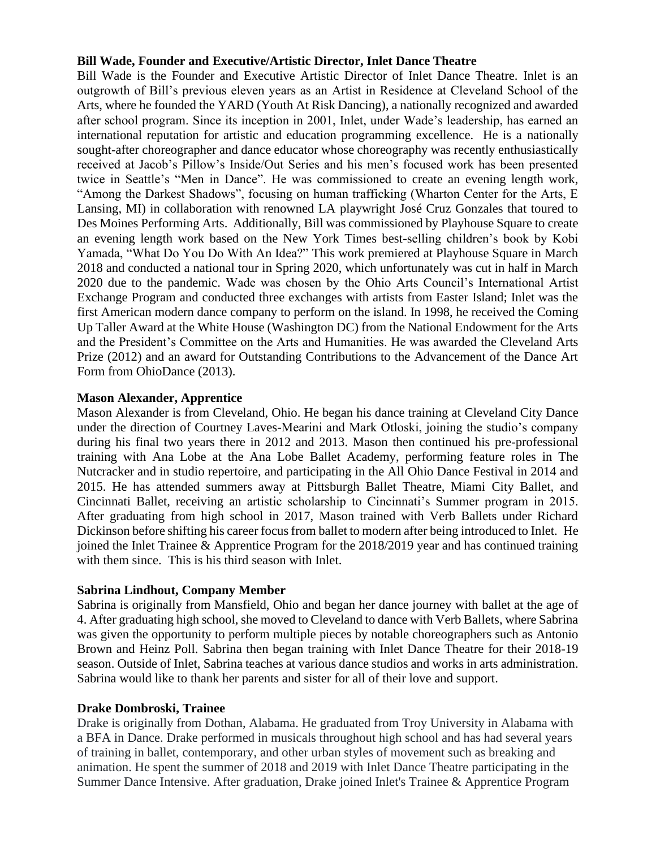#### **Bill Wade, Founder and Executive/Artistic Director, Inlet Dance Theatre**

Bill Wade is the Founder and Executive Artistic Director of Inlet Dance Theatre. Inlet is an outgrowth of Bill's previous eleven years as an Artist in Residence at Cleveland School of the Arts, where he founded the YARD (Youth At Risk Dancing), a nationally recognized and awarded after school program. Since its inception in 2001, Inlet, under Wade's leadership, has earned an international reputation for artistic and education programming excellence. He is a nationally sought-after choreographer and dance educator whose choreography was recently enthusiastically received at Jacob's Pillow's Inside/Out Series and his men's focused work has been presented twice in Seattle's "Men in Dance". He was commissioned to create an evening length work, "Among the Darkest Shadows", focusing on human trafficking (Wharton Center for the Arts, E Lansing, MI) in collaboration with renowned LA playwright José Cruz Gonzales that toured to Des Moines Performing Arts. Additionally, Bill was commissioned by Playhouse Square to create an evening length work based on the New York Times best-selling children's book by Kobi Yamada, "What Do You Do With An Idea?" This work premiered at Playhouse Square in March 2018 and conducted a national tour in Spring 2020, which unfortunately was cut in half in March 2020 due to the pandemic. Wade was chosen by the Ohio Arts Council's International Artist Exchange Program and conducted three exchanges with artists from Easter Island; Inlet was the first American modern dance company to perform on the island. In 1998, he received the Coming Up Taller Award at the White House (Washington DC) from the National Endowment for the Arts and the President's Committee on the Arts and Humanities. He was awarded the Cleveland Arts Prize (2012) and an award for Outstanding Contributions to the Advancement of the Dance Art Form from OhioDance (2013).

## **Mason Alexander, Apprentice**

Mason Alexander is from Cleveland, Ohio. He began his dance training at Cleveland City Dance under the direction of Courtney Laves-Mearini and Mark Otloski, joining the studio's company during his final two years there in 2012 and 2013. Mason then continued his pre-professional training with Ana Lobe at the Ana Lobe Ballet Academy, performing feature roles in The Nutcracker and in studio repertoire, and participating in the All Ohio Dance Festival in 2014 and 2015. He has attended summers away at Pittsburgh Ballet Theatre, Miami City Ballet, and Cincinnati Ballet, receiving an artistic scholarship to Cincinnati's Summer program in 2015. After graduating from high school in 2017, Mason trained with Verb Ballets under Richard Dickinson before shifting his career focus from ballet to modern after being introduced to Inlet. He joined the Inlet Trainee & Apprentice Program for the 2018/2019 year and has continued training with them since. This is his third season with Inlet.

#### **Sabrina Lindhout, Company Member**

Sabrina is originally from Mansfield, Ohio and began her dance journey with ballet at the age of 4. After graduating high school, she moved to Cleveland to dance with Verb Ballets, where Sabrina was given the opportunity to perform multiple pieces by notable choreographers such as Antonio Brown and Heinz Poll. Sabrina then began training with Inlet Dance Theatre for their 2018-19 season. Outside of Inlet, Sabrina teaches at various dance studios and works in arts administration. Sabrina would like to thank her parents and sister for all of their love and support.

#### **Drake Dombroski, Trainee**

Drake is originally from Dothan, Alabama. He graduated from Troy University in Alabama with a BFA in Dance. Drake performed in musicals throughout high school and has had several years of training in ballet, contemporary, and other urban styles of movement such as breaking and animation. He spent the summer of 2018 and 2019 with Inlet Dance Theatre participating in the Summer Dance Intensive. After graduation, Drake joined Inlet's Trainee & Apprentice Program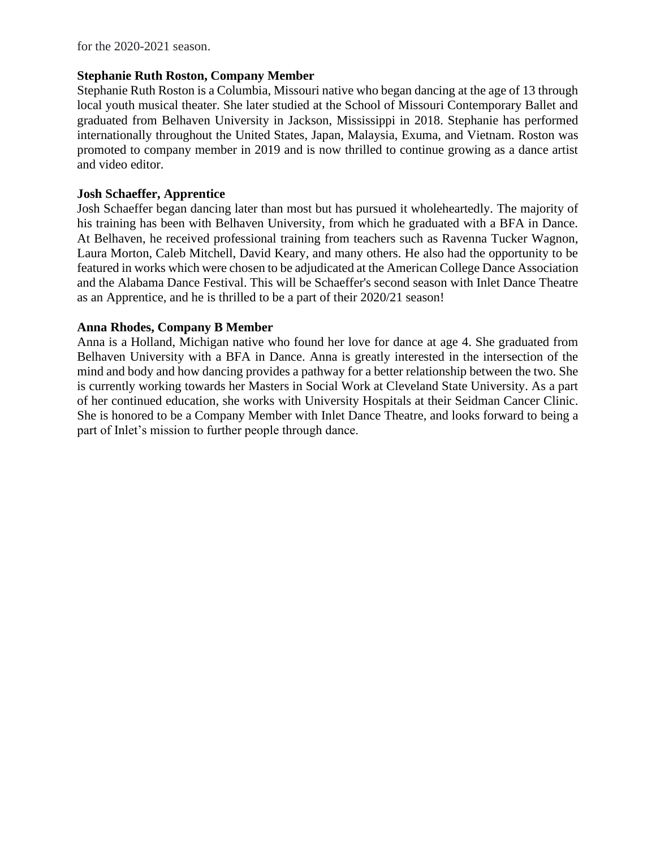## **Stephanie Ruth Roston, Company Member**

Stephanie Ruth Roston is a Columbia, Missouri native who began dancing at the age of 13 through local youth musical theater. She later studied at the School of Missouri Contemporary Ballet and graduated from Belhaven University in Jackson, Mississippi in 2018. Stephanie has performed internationally throughout the United States, Japan, Malaysia, Exuma, and Vietnam. Roston was promoted to company member in 2019 and is now thrilled to continue growing as a dance artist and video editor.

#### **Josh Schaeffer, Apprentice**

Josh Schaeffer began dancing later than most but has pursued it wholeheartedly. The majority of his training has been with Belhaven University, from which he graduated with a BFA in Dance. At Belhaven, he received professional training from teachers such as Ravenna Tucker Wagnon, Laura Morton, Caleb Mitchell, David Keary, and many others. He also had the opportunity to be featured in works which were chosen to be adjudicated at the American College Dance Association and the Alabama Dance Festival. This will be Schaeffer's second season with Inlet Dance Theatre as an Apprentice, and he is thrilled to be a part of their 2020/21 season!

## **Anna Rhodes, Company B Member**

Anna is a Holland, Michigan native who found her love for dance at age 4. She graduated from Belhaven University with a BFA in Dance. Anna is greatly interested in the intersection of the mind and body and how dancing provides a pathway for a better relationship between the two. She is currently working towards her Masters in Social Work at Cleveland State University. As a part of her continued education, she works with University Hospitals at their Seidman Cancer Clinic. She is honored to be a Company Member with Inlet Dance Theatre, and looks forward to being a part of Inlet's mission to further people through dance.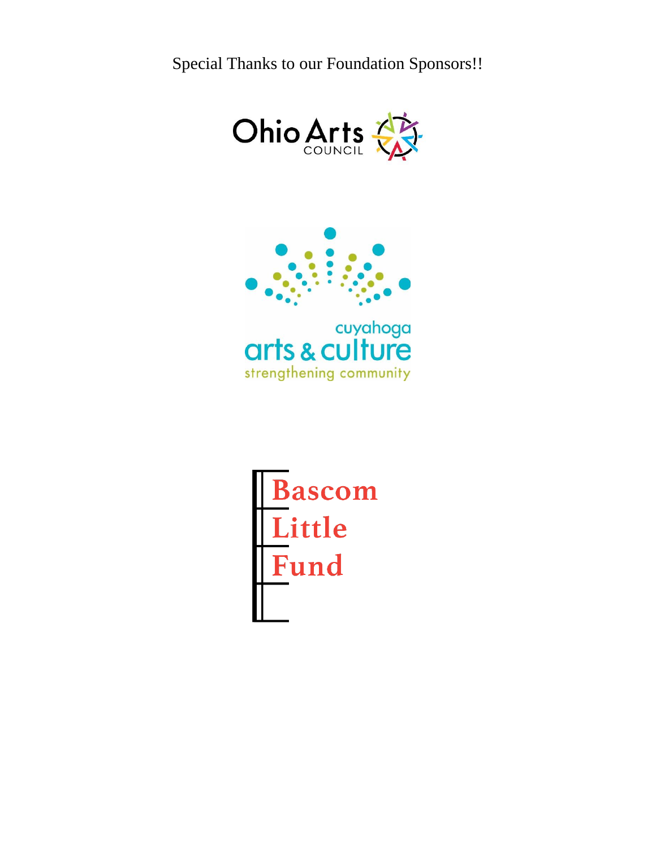Special Thanks to our Foundation Sponsors!!





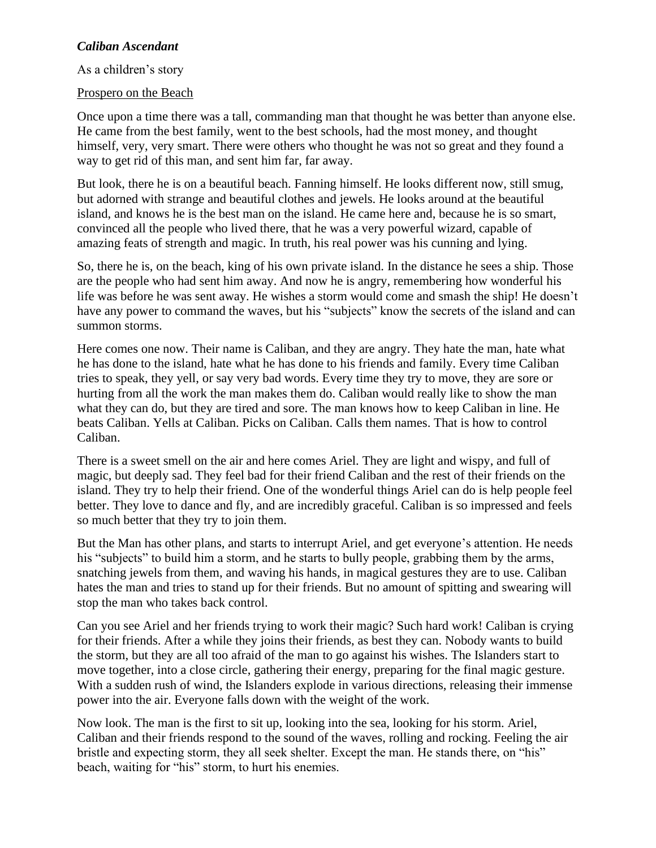## *Caliban Ascendant*

As a children's story

#### Prospero on the Beach

Once upon a time there was a tall, commanding man that thought he was better than anyone else. He came from the best family, went to the best schools, had the most money, and thought himself, very, very smart. There were others who thought he was not so great and they found a way to get rid of this man, and sent him far, far away.

But look, there he is on a beautiful beach. Fanning himself. He looks different now, still smug, but adorned with strange and beautiful clothes and jewels. He looks around at the beautiful island, and knows he is the best man on the island. He came here and, because he is so smart, convinced all the people who lived there, that he was a very powerful wizard, capable of amazing feats of strength and magic. In truth, his real power was his cunning and lying.

So, there he is, on the beach, king of his own private island. In the distance he sees a ship. Those are the people who had sent him away. And now he is angry, remembering how wonderful his life was before he was sent away. He wishes a storm would come and smash the ship! He doesn't have any power to command the waves, but his "subjects" know the secrets of the island and can summon storms.

Here comes one now. Their name is Caliban, and they are angry. They hate the man, hate what he has done to the island, hate what he has done to his friends and family. Every time Caliban tries to speak, they yell, or say very bad words. Every time they try to move, they are sore or hurting from all the work the man makes them do. Caliban would really like to show the man what they can do, but they are tired and sore. The man knows how to keep Caliban in line. He beats Caliban. Yells at Caliban. Picks on Caliban. Calls them names. That is how to control Caliban.

There is a sweet smell on the air and here comes Ariel. They are light and wispy, and full of magic, but deeply sad. They feel bad for their friend Caliban and the rest of their friends on the island. They try to help their friend. One of the wonderful things Ariel can do is help people feel better. They love to dance and fly, and are incredibly graceful. Caliban is so impressed and feels so much better that they try to join them.

But the Man has other plans, and starts to interrupt Ariel, and get everyone's attention. He needs his "subjects" to build him a storm, and he starts to bully people, grabbing them by the arms, snatching jewels from them, and waving his hands, in magical gestures they are to use. Caliban hates the man and tries to stand up for their friends. But no amount of spitting and swearing will stop the man who takes back control.

Can you see Ariel and her friends trying to work their magic? Such hard work! Caliban is crying for their friends. After a while they joins their friends, as best they can. Nobody wants to build the storm, but they are all too afraid of the man to go against his wishes. The Islanders start to move together, into a close circle, gathering their energy, preparing for the final magic gesture. With a sudden rush of wind, the Islanders explode in various directions, releasing their immense power into the air. Everyone falls down with the weight of the work.

Now look. The man is the first to sit up, looking into the sea, looking for his storm. Ariel, Caliban and their friends respond to the sound of the waves, rolling and rocking. Feeling the air bristle and expecting storm, they all seek shelter. Except the man. He stands there, on "his" beach, waiting for "his" storm, to hurt his enemies.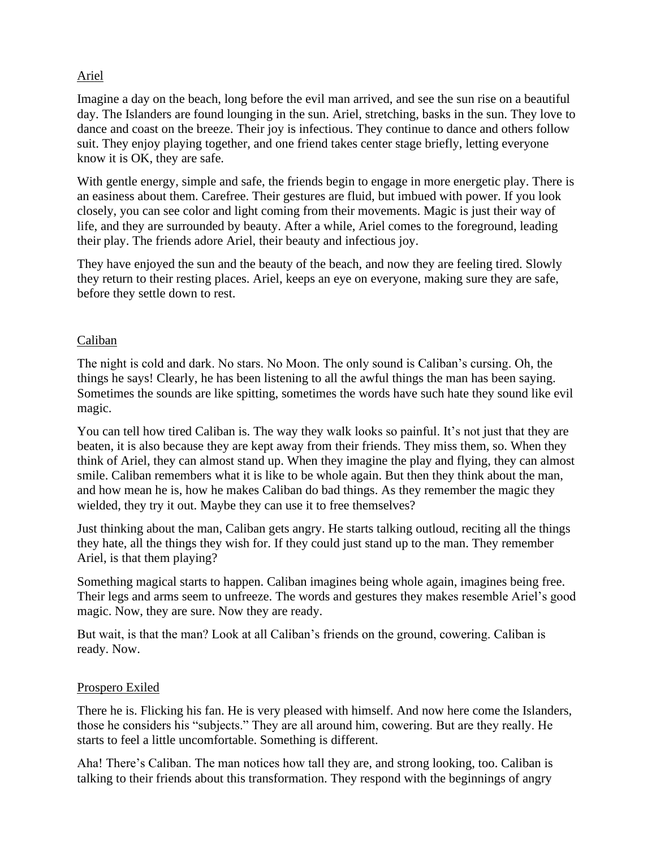# Ariel

Imagine a day on the beach, long before the evil man arrived, and see the sun rise on a beautiful day. The Islanders are found lounging in the sun. Ariel, stretching, basks in the sun. They love to dance and coast on the breeze. Their joy is infectious. They continue to dance and others follow suit. They enjoy playing together, and one friend takes center stage briefly, letting everyone know it is OK, they are safe.

With gentle energy, simple and safe, the friends begin to engage in more energetic play. There is an easiness about them. Carefree. Their gestures are fluid, but imbued with power. If you look closely, you can see color and light coming from their movements. Magic is just their way of life, and they are surrounded by beauty. After a while, Ariel comes to the foreground, leading their play. The friends adore Ariel, their beauty and infectious joy.

They have enjoyed the sun and the beauty of the beach, and now they are feeling tired. Slowly they return to their resting places. Ariel, keeps an eye on everyone, making sure they are safe, before they settle down to rest.

#### Caliban

The night is cold and dark. No stars. No Moon. The only sound is Caliban's cursing. Oh, the things he says! Clearly, he has been listening to all the awful things the man has been saying. Sometimes the sounds are like spitting, sometimes the words have such hate they sound like evil magic.

You can tell how tired Caliban is. The way they walk looks so painful. It's not just that they are beaten, it is also because they are kept away from their friends. They miss them, so. When they think of Ariel, they can almost stand up. When they imagine the play and flying, they can almost smile. Caliban remembers what it is like to be whole again. But then they think about the man, and how mean he is, how he makes Caliban do bad things. As they remember the magic they wielded, they try it out. Maybe they can use it to free themselves?

Just thinking about the man, Caliban gets angry. He starts talking outloud, reciting all the things they hate, all the things they wish for. If they could just stand up to the man. They remember Ariel, is that them playing?

Something magical starts to happen. Caliban imagines being whole again, imagines being free. Their legs and arms seem to unfreeze. The words and gestures they makes resemble Ariel's good magic. Now, they are sure. Now they are ready.

But wait, is that the man? Look at all Caliban's friends on the ground, cowering. Caliban is ready. Now.

#### Prospero Exiled

There he is. Flicking his fan. He is very pleased with himself. And now here come the Islanders, those he considers his "subjects." They are all around him, cowering. But are they really. He starts to feel a little uncomfortable. Something is different.

Aha! There's Caliban. The man notices how tall they are, and strong looking, too. Caliban is talking to their friends about this transformation. They respond with the beginnings of angry